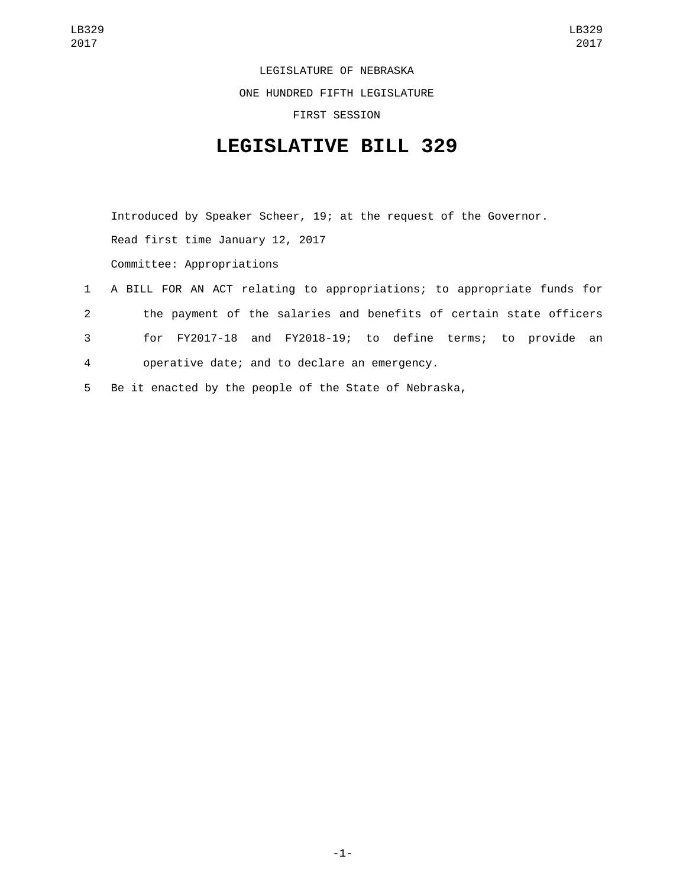LEGISLATURE OF NEBRASKA

ONE HUNDRED FIFTH LEGISLATURE

FIRST SESSION

## **LEGISLATIVE BILL 329**

Introduced by Speaker Scheer, 19; at the request of the Governor. Read first time January 12, 2017 Committee: Appropriations

 A BILL FOR AN ACT relating to appropriations; to appropriate funds for the payment of the salaries and benefits of certain state officers for FY2017-18 and FY2018-19; to define terms; to provide an operative date; and to declare an emergency.4 Be it enacted by the people of the State of Nebraska,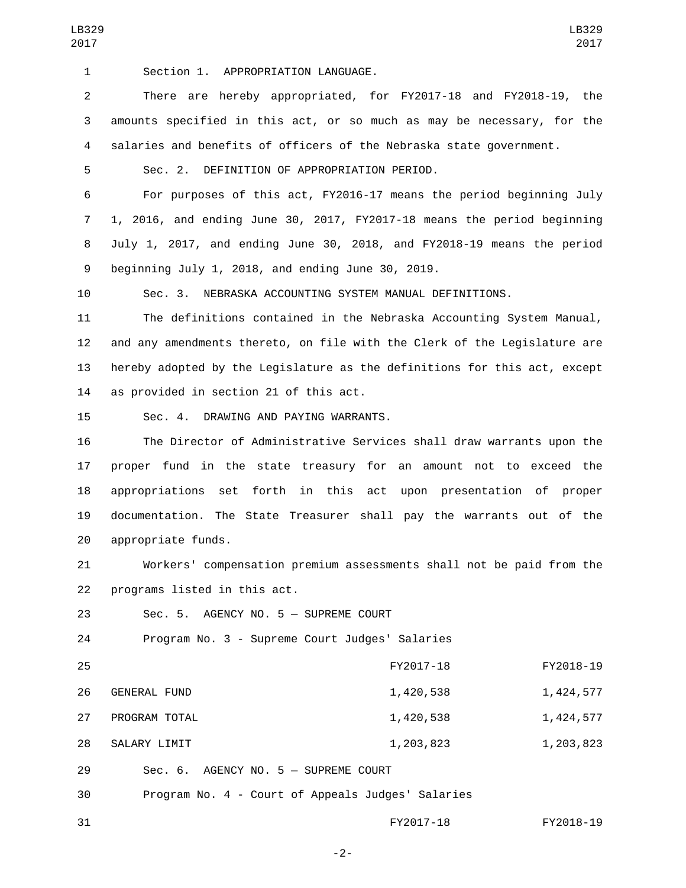1 Section 1. APPROPRIATION LANGUAGE.

2 There are hereby appropriated, for FY2017-18 and FY2018-19, the 3 amounts specified in this act, or so much as may be necessary, for the 4 salaries and benefits of officers of the Nebraska state government.

5 Sec. 2. DEFINITION OF APPROPRIATION PERIOD.

 For purposes of this act, FY2016-17 means the period beginning July 1, 2016, and ending June 30, 2017, FY2017-18 means the period beginning July 1, 2017, and ending June 30, 2018, and FY2018-19 means the period 9 beginning July 1, 2018, and ending June 30, 2019.

10 Sec. 3. NEBRASKA ACCOUNTING SYSTEM MANUAL DEFINITIONS.

 The definitions contained in the Nebraska Accounting System Manual, and any amendments thereto, on file with the Clerk of the Legislature are hereby adopted by the Legislature as the definitions for this act, except 14 as provided in section 21 of this act.

15 Sec. 4. DRAWING AND PAYING WARRANTS.

 The Director of Administrative Services shall draw warrants upon the proper fund in the state treasury for an amount not to exceed the appropriations set forth in this act upon presentation of proper documentation. The State Treasurer shall pay the warrants out of the 20 appropriate funds.

21 Workers' compensation premium assessments shall not be paid from the 22 programs listed in this act.

23 Sec. 5. AGENCY NO. 5 - SUPREME COURT

24 Program No. 3 - Supreme Court Judges' Salaries

| 25 |                                                   | FY2017-18 | FY2018-19 |
|----|---------------------------------------------------|-----------|-----------|
| 26 | <b>GENERAL FUND</b>                               | 1,420,538 | 1,424,577 |
| 27 | PROGRAM TOTAL                                     | 1,420,538 | 1,424,577 |
| 28 | SALARY LIMIT                                      | 1,203,823 | 1,203,823 |
| 29 | $Sec. 6. AGENCY NO. 5 - SUPREME COURT$            |           |           |
| 30 | Program No. 4 - Court of Appeals Judges' Salaries |           |           |

31 FY2017-18 FY2018-19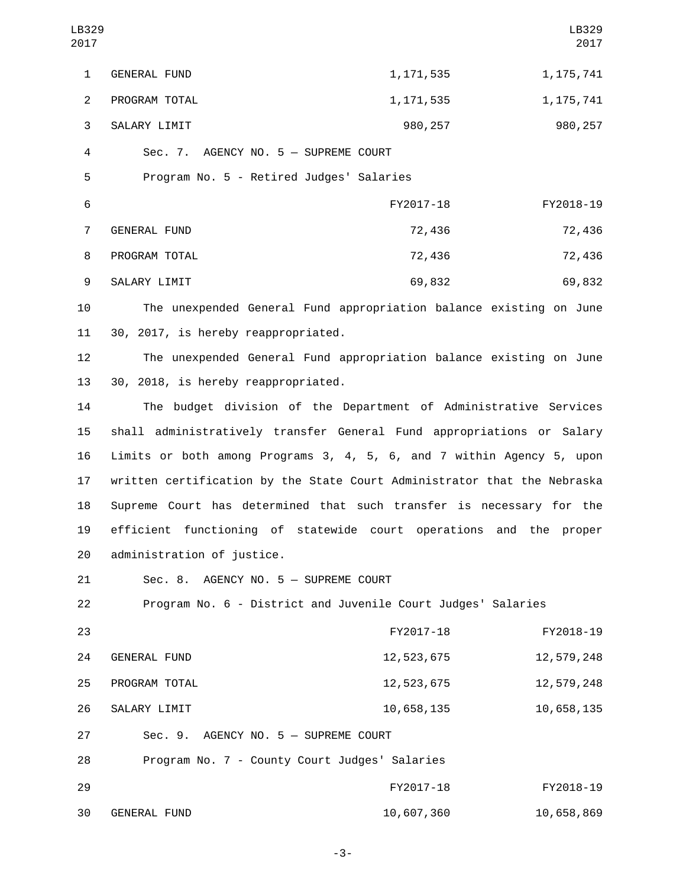| LB329<br>2017  |                                                                          |             | LB329<br>2017 |
|----------------|--------------------------------------------------------------------------|-------------|---------------|
| $\mathbf{1}$   | GENERAL FUND                                                             | 1, 171, 535 | 1, 175, 741   |
| $\overline{2}$ | PROGRAM TOTAL                                                            | 1, 171, 535 | 1, 175, 741   |
| 3              | SALARY LIMIT                                                             | 980, 257    | 980,257       |
| 4              | Sec. 7. AGENCY NO. 5 - SUPREME COURT                                     |             |               |
| 5              | Program No. 5 - Retired Judges' Salaries                                 |             |               |
| 6              |                                                                          | FY2017-18   | FY2018-19     |
| $\overline{7}$ | GENERAL FUND                                                             | 72,436      | 72,436        |
| 8              | PROGRAM TOTAL                                                            | 72,436      | 72,436        |
| 9              | SALARY LIMIT                                                             | 69,832      | 69,832        |
| 10             | The unexpended General Fund appropriation balance existing on June       |             |               |
| 11             | 30, 2017, is hereby reappropriated.                                      |             |               |
| 12             | The unexpended General Fund appropriation balance existing on June       |             |               |
| 13             | 30, 2018, is hereby reappropriated.                                      |             |               |
| 14             | The budget division of the Department of Administrative Services         |             |               |
| 15             | shall administratively transfer General Fund appropriations or Salary    |             |               |
| 16             | Limits or both among Programs 3, 4, 5, 6, and 7 within Agency 5, upon    |             |               |
| 17             | written certification by the State Court Administrator that the Nebraska |             |               |
| 18             | Supreme Court has determined that such transfer is necessary for the     |             |               |
| 19             | efficient functioning of statewide court operations and the proper       |             |               |
| 20             | administration of justice.                                               |             |               |
| 21             | Sec. 8. AGENCY NO. 5 - SUPREME COURT                                     |             |               |
| 22             | Program No. 6 - District and Juvenile Court Judges' Salaries             |             |               |
| 23             |                                                                          | FY2017-18   | FY2018-19     |
| 24             | GENERAL FUND                                                             | 12,523,675  | 12,579,248    |
| 25             | PROGRAM TOTAL                                                            | 12,523,675  | 12,579,248    |
| 26             | SALARY LIMIT                                                             | 10,658,135  | 10,658,135    |
| 27             | Sec. 9. AGENCY NO. 5 - SUPREME COURT                                     |             |               |
| 28             | Program No. 7 - County Court Judges' Salaries                            |             |               |

| 29 |              | FY2017-18  | FY2018-19  |
|----|--------------|------------|------------|
| 30 | GENERAL FUND | 10,607,360 | 10,658,869 |

-3-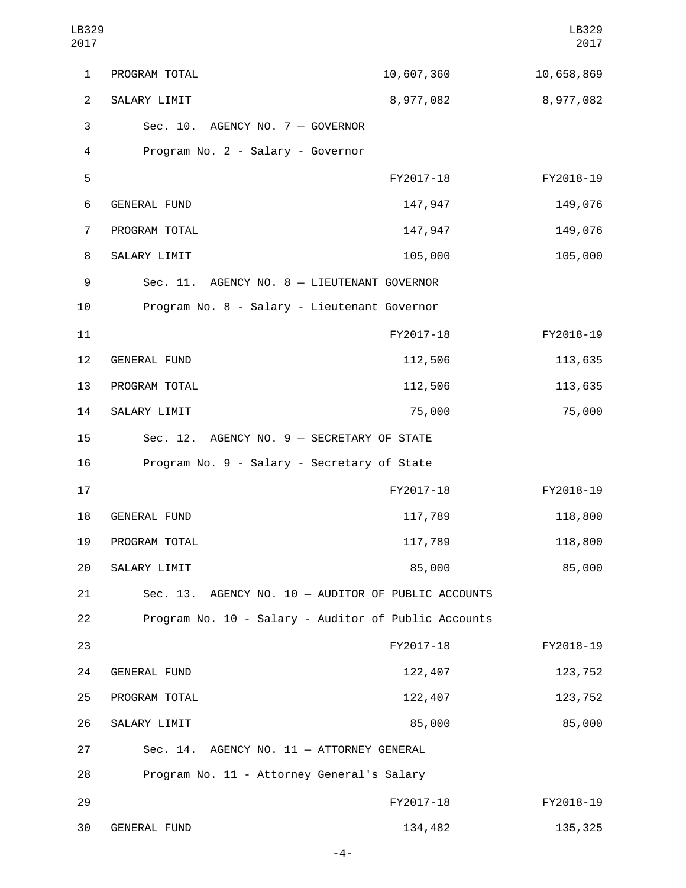| LB329<br>2017  |                                                      |            | LB329<br>2017 |
|----------------|------------------------------------------------------|------------|---------------|
| $\mathbf{1}$   | PROGRAM TOTAL                                        | 10,607,360 | 10,658,869    |
| $\overline{2}$ | SALARY LIMIT                                         | 8,977,082  | 8,977,082     |
| 3              | Sec. 10. AGENCY NO. 7 - GOVERNOR                     |            |               |
| 4              | Program No. 2 - Salary - Governor                    |            |               |
| 5              |                                                      | FY2017-18  | FY2018-19     |
| 6              | <b>GENERAL FUND</b>                                  | 147,947    | 149,076       |
| $\overline{7}$ | PROGRAM TOTAL                                        | 147,947    | 149,076       |
| 8              | SALARY LIMIT                                         | 105,000    | 105,000       |
| 9              | Sec. 11. AGENCY NO. 8 - LIEUTENANT GOVERNOR          |            |               |
| 10             | Program No. 8 - Salary - Lieutenant Governor         |            |               |
| 11             |                                                      | FY2017-18  | FY2018-19     |
| 12             | <b>GENERAL FUND</b>                                  | 112,506    | 113,635       |
| 13             | PROGRAM TOTAL                                        | 112,506    | 113,635       |
| 14             | SALARY LIMIT                                         | 75,000     | 75,000        |
| 15             | Sec. 12. AGENCY NO. 9 - SECRETARY OF STATE           |            |               |
| 16             | Program No. 9 - Salary - Secretary of State          |            |               |
| 17             |                                                      | FY2017-18  | FY2018-19     |
| 18             | <b>GENERAL FUND</b>                                  | 117,789    | 118,800       |
| 19             | PROGRAM TOTAL                                        | 117,789    | 118,800       |
| 20             | SALARY LIMIT                                         | 85,000     | 85,000        |
| 21             | Sec. 13. AGENCY NO. 10 - AUDITOR OF PUBLIC ACCOUNTS  |            |               |
| 22             | Program No. 10 - Salary - Auditor of Public Accounts |            |               |
| 23             |                                                      | FY2017-18  | FY2018-19     |
| 24             | GENERAL FUND                                         | 122,407    | 123,752       |
| 25             | PROGRAM TOTAL                                        | 122,407    | 123,752       |
| 26             | SALARY LIMIT                                         | 85,000     | 85,000        |
| 27             | Sec. 14. AGENCY NO. 11 - ATTORNEY GENERAL            |            |               |
| 28             | Program No. 11 - Attorney General's Salary           |            |               |
| 29             |                                                      | FY2017-18  | FY2018-19     |
| 30             | GENERAL FUND                                         | 134,482    | 135, 325      |

-4-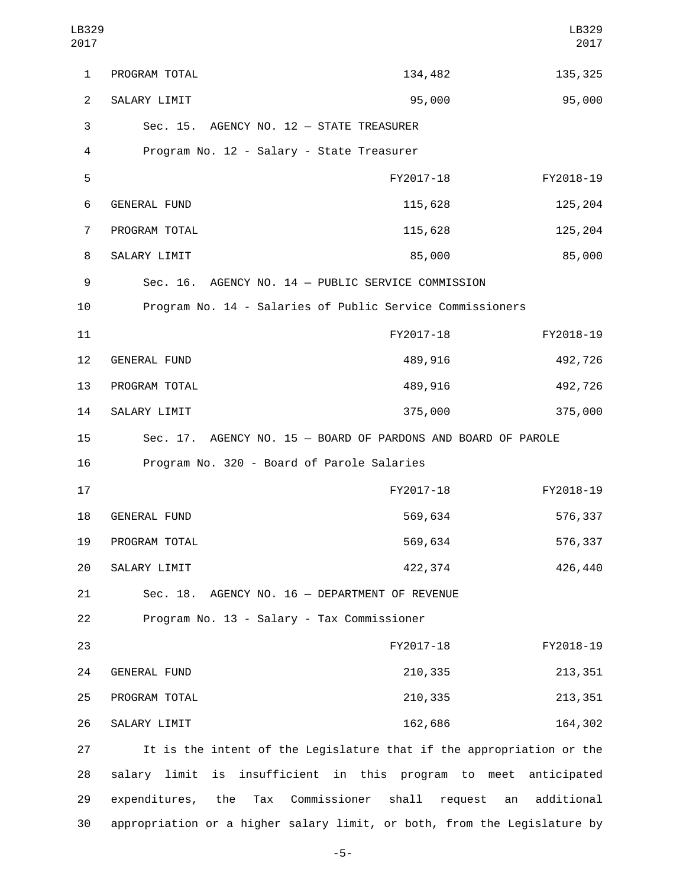| LB329<br>2017  |                                            |                                                                      | LB329<br>2017    |
|----------------|--------------------------------------------|----------------------------------------------------------------------|------------------|
| 1              | PROGRAM TOTAL                              | 134,482                                                              | 135, 325         |
| $\overline{2}$ | SALARY LIMIT                               | 95,000                                                               | 95,000           |
| 3              | Sec. 15. AGENCY NO. 12 - STATE TREASURER   |                                                                      |                  |
| 4              | Program No. 12 - Salary - State Treasurer  |                                                                      |                  |
| 5              |                                            | FY2017-18                                                            | FY2018-19        |
| 6              | GENERAL FUND                               | 115,628                                                              | 125,204          |
| $\overline{7}$ | PROGRAM TOTAL                              | 115,628                                                              | 125,204          |
| 8              | SALARY LIMIT                               | 85,000                                                               | 85,000           |
| 9              |                                            | Sec. 16. AGENCY NO. 14 - PUBLIC SERVICE COMMISSION                   |                  |
| 10             |                                            | Program No. 14 - Salaries of Public Service Commissioners            |                  |
| 11             |                                            | FY2017-18                                                            | FY2018-19        |
| 12             | GENERAL FUND                               | 489,916                                                              | 492,726          |
| 13             | PROGRAM TOTAL                              | 489,916                                                              | 492,726          |
| 14             | SALARY LIMIT                               | 375,000                                                              | 375,000          |
| 15             |                                            | Sec. 17. AGENCY NO. 15 - BOARD OF PARDONS AND BOARD OF PAROLE        |                  |
| 16             | Program No. 320 - Board of Parole Salaries |                                                                      |                  |
| 17             |                                            | FY2017-18                                                            | FY2018-19        |
| 18             | <b>GENERAL FUND</b>                        | 569,634                                                              | 576,337          |
| 19             | PROGRAM TOTAL                              | 569,634                                                              | 576,337          |
| 20             | SALARY LIMIT                               | 422,374                                                              | 426,440          |
| 21             | Sec. 18.                                   | AGENCY NO. 16 - DEPARTMENT OF REVENUE                                |                  |
| 22             | Program No. 13 - Salary - Tax Commissioner |                                                                      |                  |
| 23             |                                            | FY2017-18                                                            | FY2018-19        |
| 24             | <b>GENERAL FUND</b>                        | 210,335                                                              | 213, 351         |
| 25             | PROGRAM TOTAL                              | 210,335                                                              | 213, 351         |
| 26             | SALARY LIMIT                               | 162,686                                                              | 164,302          |
| 27             |                                            | It is the intent of the Legislature that if the appropriation or the |                  |
| 28             | limit<br>is<br>salary                      | insufficient in this<br>program to meet                              | anticipated      |
| 29             | expenditures,<br>the<br>Tax                | Commissioner<br>shall<br>request                                     | additional<br>an |

-5-

30 appropriation or a higher salary limit, or both, from the Legislature by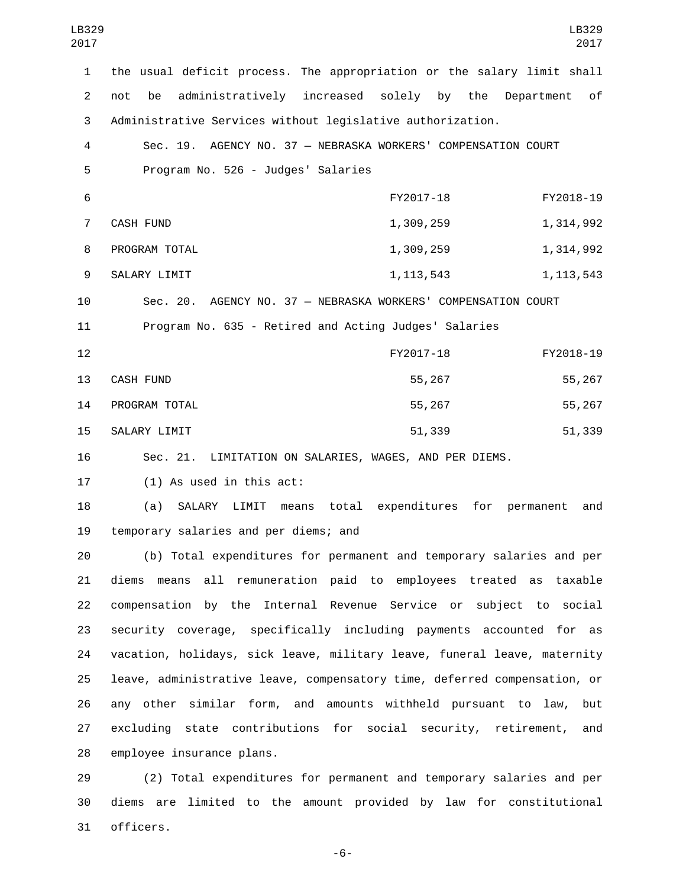| LB329<br>2017  | LB329<br>2017                                                                    |
|----------------|----------------------------------------------------------------------------------|
| $\mathbf{1}$   | the usual deficit process. The appropriation or the salary limit shall           |
| $\overline{2}$ | administratively increased solely by the<br>of<br>not<br>be<br>Department        |
| 3              | Administrative Services without legislative authorization.                       |
| 4              | Sec. 19. AGENCY NO. 37 - NEBRASKA WORKERS' COMPENSATION COURT                    |
| 5              | Program No. 526 - Judges' Salaries                                               |
| 6              | FY2017-18<br>FY2018-19                                                           |
| $\overline{7}$ | <b>CASH FUND</b><br>1,314,992<br>1,309,259                                       |
| 8              | PROGRAM TOTAL<br>1,314,992<br>1,309,259                                          |
| 9              | SALARY LIMIT<br>1, 113, 543<br>1, 113, 543                                       |
| 10             | Sec. 20. AGENCY NO. 37 - NEBRASKA WORKERS' COMPENSATION COURT                    |
| 11             | Program No. 635 - Retired and Acting Judges' Salaries                            |
| 12             | FY2017-18<br>FY2018-19                                                           |
| 13             | 55,267<br><b>CASH FUND</b><br>55,267                                             |
| 14             | 55,267<br>55,267<br>PROGRAM TOTAL                                                |
| 15             | SALARY LIMIT<br>51,339<br>51,339                                                 |
| 16             | Sec. 21. LIMITATION ON SALARIES, WAGES, AND PER DIEMS.                           |
| 17             | $(1)$ As used in this act:                                                       |
| 18             | total<br>expenditures for<br>(a)<br>SALARY<br>LIMIT<br>means<br>permanent<br>and |
| 19             | temporary salaries and per diems; and                                            |
| 20             | (b) Total expenditures for permanent and temporary salaries and per              |
| 21             | diems means all remuneration paid to employees treated as taxable                |
| 22             | compensation by the Internal Revenue Service or subject to social                |
| 23             | security coverage, specifically including payments accounted for as              |
| 24             | vacation, holidays, sick leave, military leave, funeral leave, maternity         |
| 25             | leave, administrative leave, compensatory time, deferred compensation, or        |
| 26             | any other similar form, and amounts withheld pursuant to law,<br>but             |
| 27             | excluding state contributions for social security, retirement,<br>and            |
| 28             | employee insurance plans.                                                        |

 (2) Total expenditures for permanent and temporary salaries and per diems are limited to the amount provided by law for constitutional 31 officers.

-6-